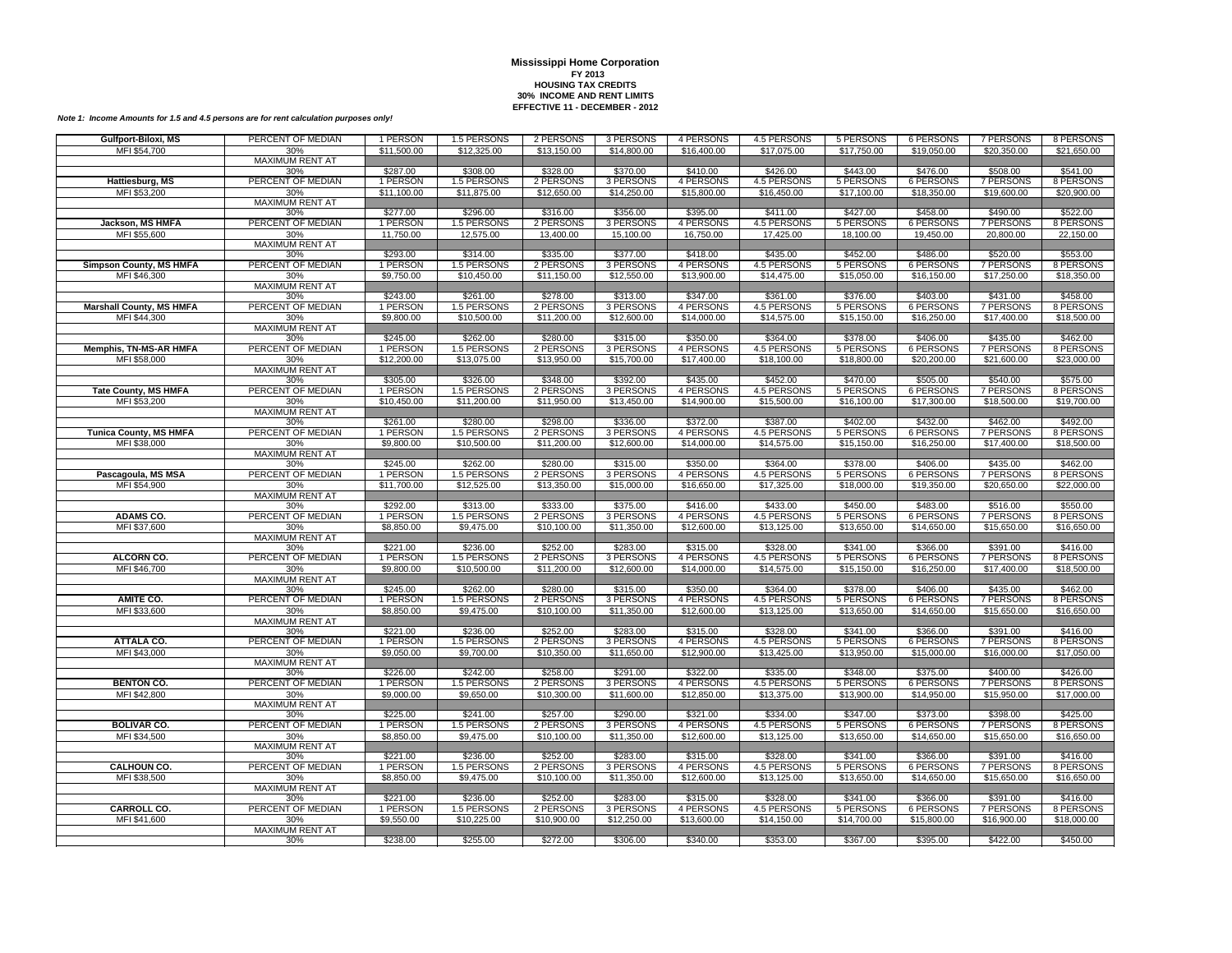| Gulfport-Biloxi, MS             | PERCENT OF MEDIAN             | 1 PERSON             | 1.5 PERSONS             | 2 PERSONS             | 3 PERSONS             | 4 PERSONS             | 4.5 PERSONS             | 5 PERSONS             | 6 PERSONS             | 7 PERSONS             | 8 PERSONS             |
|---------------------------------|-------------------------------|----------------------|-------------------------|-----------------------|-----------------------|-----------------------|-------------------------|-----------------------|-----------------------|-----------------------|-----------------------|
| MFI \$54,700                    | 30%                           | \$11,500.00          | \$12,325.00             | \$13,150.00           | \$14,800.00           | \$16,400.00           | \$17,075.00             | \$17,750.00           | \$19,050.00           | \$20,350.00           | \$21,650.00           |
|                                 | <b>MAXIMUM RENT AT</b>        |                      |                         |                       |                       |                       |                         |                       |                       |                       |                       |
|                                 | 30%                           | \$287.00             | \$308.00                | \$328.00              | \$370.00              | \$410.00              | \$426.00                | \$443.00              | \$476.00              | \$508.00              | \$541.00              |
| Hattiesburg, MS                 | PERCENT OF MEDIAN             | 1 PERSON             | 1.5 PERSONS             | 2 PERSONS             | 3 PERSONS             | 4 PERSONS             | 4.5 PERSONS             | 5 PERSONS             | 6 PERSONS             | 7 PERSONS             | 8 PERSONS             |
| MFI \$53,200                    | 30%                           | \$11,100.00          | \$11,875.00             | \$12,650.00           | \$14,250.00           | \$15,800.00           | \$16,450.00             | \$17,100.00           | \$18,350.00           | \$19,600.00           | \$20,900.00           |
|                                 | <b>MAXIMUM RENT AT</b>        |                      |                         |                       |                       |                       |                         |                       |                       |                       |                       |
|                                 | 30%                           | \$277.00             | \$296.00                | \$316.00              | \$356.00              | \$395.00              | \$411.00                | \$427.00              | \$458.00              | \$490.00              | \$522.00              |
| Jackson, MS HMFA                | PERCENT OF MEDIAN             | 1 PERSON             | 1.5 PERSONS             | 2 PERSONS             | 3 PERSONS             | 4 PERSONS             | 4.5 PERSONS             | 5 PERSONS             | 6 PERSONS             | 7 PERSONS             | 8 PERSONS             |
| MFI \$55,600                    | 30%                           | 11,750.00            | 12,575.00               | 13,400.00             | 15,100.00             | 16,750.00             | 17,425.00               | 18,100.00             | 19,450.00             | 20,800.00             | 22,150.00             |
|                                 | <b>MAXIMUM RENT AT</b>        | \$293.00             | \$314.00                | \$335.00              | \$377.00              | \$418.00              | \$435.00                | \$452.00              | \$486.00              | \$520.00              | \$553.00              |
| <b>Simpson County, MS HMFA</b>  | 30%<br>PERCENT OF MEDIAN      | 1 PERSON             | 1.5 PERSONS             | 2 PERSONS             | 3 PERSONS             | 4 PERSONS             | 4.5 PERSONS             | 5 PERSONS             | <b>6 PERSONS</b>      | <b>7 PERSONS</b>      | 8 PERSONS             |
| MFI \$46,300                    | 30%                           | \$9,750.00           | \$10,450.00             | \$11,150.00           | \$12,550.00           | \$13,900.00           | \$14,475.00             | \$15,050.00           | \$16,150.00           | \$17,250.00           | \$18,350.00           |
|                                 | <b>MAXIMUM RENT AT</b>        |                      |                         |                       |                       |                       |                         |                       |                       |                       |                       |
|                                 | 30%                           | \$243.00             | \$261.00                | \$278.00              | \$313.00              | \$347.00              | \$361.00                | \$376.00              | \$403.00              | \$431.00              | \$458.00              |
| <b>Marshall County, MS HMFA</b> | PERCENT OF MEDIAN             | 1 PERSON             | 1.5 PERSONS             | 2 PERSONS             | 3 PERSONS             | 4 PERSONS             | 4.5 PERSONS             | 5 PERSONS             | <b>6 PERSONS</b>      | 7 PERSONS             | 8 PERSONS             |
| MFI \$44,300                    | 30%                           | \$9,800.00           | \$10,500.00             | \$11,200.00           | \$12,600.00           | \$14,000.00           | \$14,575.00             | \$15,150.00           | \$16,250.00           | \$17,400.00           | \$18,500.00           |
|                                 | <b>MAXIMUM RENT AT</b>        |                      |                         |                       |                       |                       |                         |                       |                       |                       |                       |
|                                 | 30%                           | \$245.00             | \$262.00                | \$280.00              | \$315.00              | \$350.00              | \$364.00                | \$378.00              | \$406.00              | \$435.00              | \$462.00              |
| <b>Memphis, TN-MS-AR HMFA</b>   | PERCENT OF MEDIAN             | 1 PERSON             | 1.5 PERSONS             | 2 PERSONS             | 3 PERSONS             | 4 PERSONS             | 4.5 PERSONS             | 5 PERSONS             | <b>6 PERSONS</b>      | <b>7 PERSONS</b>      | 8 PERSONS             |
| MFI \$58,000                    | 30%                           | \$12,200.00          | \$13,075.00             | \$13,950.00           | \$15,700.00           | \$17,400.00           | \$18,100.00             | \$18,800.00           | \$20,200.00           | \$21,600.00           | \$23,000.00           |
|                                 | MAXIMUM RENT AT               |                      |                         |                       |                       |                       |                         |                       |                       |                       |                       |
|                                 | 30%                           | \$305.00             | \$326.00                | \$348.00              | \$392.00              | \$435.00              | \$452.00                | \$470.00              | \$505.00              | \$540.00              | \$575.00              |
| <b>Tate County, MS HMFA</b>     | PERCENT OF MEDIAN             | 1 PERSON             | 1.5 PERSONS             | 2 PERSONS             | 3 PERSONS             | 4 PERSONS             | 4.5 PERSONS             | 5 PERSONS             | 6 PERSONS             | 7 PERSONS             | 8 PERSONS             |
| MFI \$53,200                    | 30%                           | \$10,450.00          | \$11,200.00             | \$11,950.00           | \$13,450.00           | \$14,900.00           | \$15,500.00             | \$16,100.00           | \$17,300.00           | \$18,500.00           | \$19,700.00           |
|                                 | <b>MAXIMUM RENT AT</b><br>30% | \$261.00             | \$280.00                | \$298.00              | \$336.00              | \$372.00              | \$387.00                | \$402.00              | \$432.00              | \$462.00              | \$492.00              |
| <b>Tunica County, MS HMFA</b>   | PERCENT OF MEDIAN             | 1 PERSON             | 1.5 PERSONS             | 2 PERSONS             | 3 PERSONS             | 4 PERSONS             | 4.5 PERSONS             | 5 PERSONS             | <b>6 PERSONS</b>      | <b>7 PERSONS</b>      | 8 PERSONS             |
| MFI \$38,000                    | 30%                           | \$9,800.00           | \$10,500.00             | \$11,200.00           | \$12,600.00           | \$14,000.00           | \$14,575.00             | \$15,150.00           | \$16,250.00           | \$17,400.00           | \$18,500.00           |
|                                 | <b>MAXIMUM RENT AT</b>        |                      |                         |                       |                       |                       |                         |                       |                       |                       |                       |
|                                 | 30%                           | \$245.00             | \$262.00                | \$280.00              | \$315.00              | \$350.00              | \$364.00                | \$378.00              | \$406.00              | \$435.00              | \$462.00              |
| Pascagoula, MS MSA              | PERCENT OF MEDIAN             | 1 PERSON             | 1.5 PERSONS             | 2 PERSONS             | 3 PERSONS             | 4 PERSONS             | 4.5 PERSONS             | 5 PERSONS             | <b>6 PERSONS</b>      | 7 PERSONS             | 8 PERSONS             |
| MFI \$54,900                    | 30%                           | \$11,700.00          | \$12,525.00             | \$13,350.00           | \$15,000.00           | \$16,650.00           | \$17,325.00             | \$18,000.00           | \$19,350.00           | \$20,650.00           | \$22,000.00           |
|                                 | MAXIMUM RENT AT               |                      |                         |                       |                       |                       |                         |                       |                       |                       |                       |
|                                 | 30%                           | \$292.00             | \$313.00                | \$333.00              | \$375.00              | \$416.00              | \$433.00                | \$450.00              | \$483.00              | \$516.00              | \$550.00              |
| <b>ADAMS CO.</b>                | PERCENT OF MEDIAN             | 1 PERSON             | 1.5 PERSONS             | 2 PERSONS             | 3 PERSONS             | 4 PERSONS             | 4.5 PERSONS             | 5 PERSONS             | 6 PERSONS             | 7 PERSONS             | 8 PERSONS             |
| MFI \$37,600                    | 30%                           | \$8,850.00           | \$9,475.00              | \$10,100.00           | \$11,350.00           | \$12,600.00           | \$13,125.00             | \$13,650.00           | \$14,650.00           | \$15,650.00           | \$16,650.00           |
|                                 | <b>MAXIMUM RENT AT</b>        |                      |                         |                       |                       |                       |                         |                       |                       |                       |                       |
| ALCORN CO.                      | 30%<br>PERCENT OF MEDIAN      | \$221.00<br>1 PERSON | \$236.00<br>1.5 PERSONS | \$252.00<br>2 PERSONS | \$283.00<br>3 PERSONS | \$315.00<br>4 PERSONS | \$328.00<br>4.5 PERSONS | \$341.00<br>5 PERSONS | \$366.00<br>6 PERSONS | \$391.00<br>7 PERSONS | \$416.00<br>8 PERSONS |
| MFI \$46,700                    | 30%                           | \$9,800.00           | \$10,500.00             | \$11,200.00           | \$12,600.00           | \$14,000.00           | \$14,575.00             | \$15,150.00           | \$16,250.00           | \$17,400.00           | \$18,500.00           |
|                                 | <b>MAXIMUM RENT AT</b>        |                      |                         |                       |                       |                       |                         |                       |                       |                       |                       |
|                                 | 30%                           | \$245.00             | \$262.00                | \$280.00              | \$315.00              | \$350.00              | \$364.00                | \$378.00              | \$406.00              | \$435.00              | \$462.00              |
| AMITE CO.                       | PERCENT OF MEDIAN             | 1 PERSON             | 1.5 PERSONS             | 2 PERSONS             | 3 PERSONS             | 4 PERSONS             | 4.5 PERSONS             | 5 PERSONS             | <b>6 PERSONS</b>      | 7 PERSONS             | 8 PERSONS             |
| MFI \$33,600                    | 30%                           | \$8,850.00           | \$9,475.00              | \$10,100.00           | \$11,350.00           | \$12,600.00           | \$13,125.00             | \$13,650.00           | \$14,650.00           | \$15,650.00           | \$16,650.00           |
|                                 | <b>MAXIMUM RENT AT</b>        |                      |                         |                       |                       |                       |                         |                       |                       |                       |                       |
|                                 | 30%                           | \$221.00             | \$236.00                | \$252.00              | \$283.00              | \$315.00              | \$328.00                | \$341.00              | \$366.00              | \$391.00              | \$416.00              |
| ATTALA CO.                      | PERCENT OF MEDIAN             | 1 PERSON             | 1.5 PERSONS             | 2 PERSONS             | 3 PERSONS             | 4 PERSONS             | 4.5 PERSONS             | 5 PERSONS             | <b>6 PERSONS</b>      | 7 PERSONS             | 8 PERSONS             |
| MFI \$43,000                    | 30%                           | \$9,050.00           | \$9,700.00              | \$10,350.00           | \$11,650.00           | \$12,900.00           | \$13,425.00             | \$13,950.00           | \$15,000.00           | \$16,000.00           | \$17,050.00           |
|                                 | <b>MAXIMUM RENT AT</b>        |                      |                         |                       |                       |                       |                         |                       |                       |                       |                       |
|                                 | 30%<br>PERCENT OF MEDIAN      | \$226.00             | \$242.00                | \$258.00              | \$291.00              | \$322.00              | \$335.00                | \$348.00              | \$375.00              | \$400.00              | \$426.00              |
| <b>BENTON CO.</b>               |                               | 1 PERSON             | 1.5 PERSONS             | 2 PERSONS             | 3 PERSONS             | 4 PERSONS             | 4.5 PERSONS             | 5 PERSONS             | <b>6 PERSONS</b>      | 7 PERSONS             | 8 PERSONS             |
| MFI \$42,800                    | 30%<br><b>MAXIMUM RENT AT</b> | \$9,000.00           | \$9,650.00              | \$10,300.00           | \$11,600.00           | \$12,850.00           | \$13,375.00             | \$13,900.00           | \$14,950.00           | \$15,950.00           | \$17,000.00           |
|                                 | 30%                           | \$225.00             | \$241.00                | \$257.00              | \$290.00              | \$321.00              | \$334.00                | \$347.00              | \$373.00              | \$398.00              | \$425.00              |
| <b>BOLIVAR CO.</b>              | PERCENT OF MEDIAN             | 1 PERSON             | 1.5 PERSONS             | 2 PERSONS             | 3 PERSONS             | 4 PERSONS             | 4.5 PERSONS             | 5 PERSONS             | 6 PERSONS             | <b>7 PERSONS</b>      | 8 PERSONS             |
| MFI \$34,500                    | 30%                           | \$8,850.00           | \$9,475.00              | \$10,100.00           | \$11,350.00           | \$12,600.00           | \$13,125.00             | \$13,650.00           | \$14,650.00           | \$15,650.00           | \$16,650.00           |
|                                 | <b>MAXIMUM RENT AT</b>        |                      |                         |                       |                       |                       |                         |                       |                       |                       |                       |
|                                 | 30%                           | \$221.00             | \$236.00                | \$252.00              | \$283.00              | \$315.00              | \$328.00                | \$341.00              | \$366.00              | \$391.00              | \$416.00              |
| <b>CALHOUN CO.</b>              | PERCENT OF MEDIAN             | 1 PERSON             | 1.5 PERSONS             | 2 PERSONS             | 3 PERSONS             | 4 PERSONS             | 4.5 PERSONS             | 5 PERSONS             | <b>6 PERSONS</b>      | 7 PERSONS             | 8 PERSONS             |
| MFI \$38,500                    | 30%                           | \$8,850.00           | \$9,475.00              | \$10,100.00           | \$11,350.00           | \$12,600.00           | \$13,125.00             | \$13,650.00           | \$14,650.00           | \$15,650.00           | \$16,650.00           |
|                                 | <b>MAXIMUM RENT AT</b>        |                      |                         |                       |                       |                       |                         |                       |                       |                       |                       |
|                                 | 30%                           | \$221.00             | \$236.00                | \$252.00              | \$283.00              | \$315.00              | \$328.00                | \$341.00              | \$366.00              | \$391.00              | \$416.00              |
| <b>CARROLL CO.</b>              | PERCENT OF MEDIAN             | 1 PERSON             | 1.5 PERSONS             | 2 PERSONS             | 3 PERSONS             | 4 PERSONS             | 4.5 PERSONS             | 5 PERSONS             | <b>6 PERSONS</b>      | 7 PERSONS             | 8 PERSONS             |
| MFI \$41,600                    | 30%                           | \$9,550.00           | \$10,225.00             | \$10,900.00           | \$12,250.00           | \$13,600.00           | \$14,150.00             | \$14,700.00           | \$15,800.00           | \$16,900.00           | \$18,000.00           |
|                                 | MAXIMUM RENT AT               | \$238.00             | \$255.00                | \$272.00              | \$306.00              | \$340.00              | \$353.00                | \$367.00              | \$395.00              | \$422.00              | \$450.00              |
|                                 | 30%                           |                      |                         |                       |                       |                       |                         |                       |                       |                       |                       |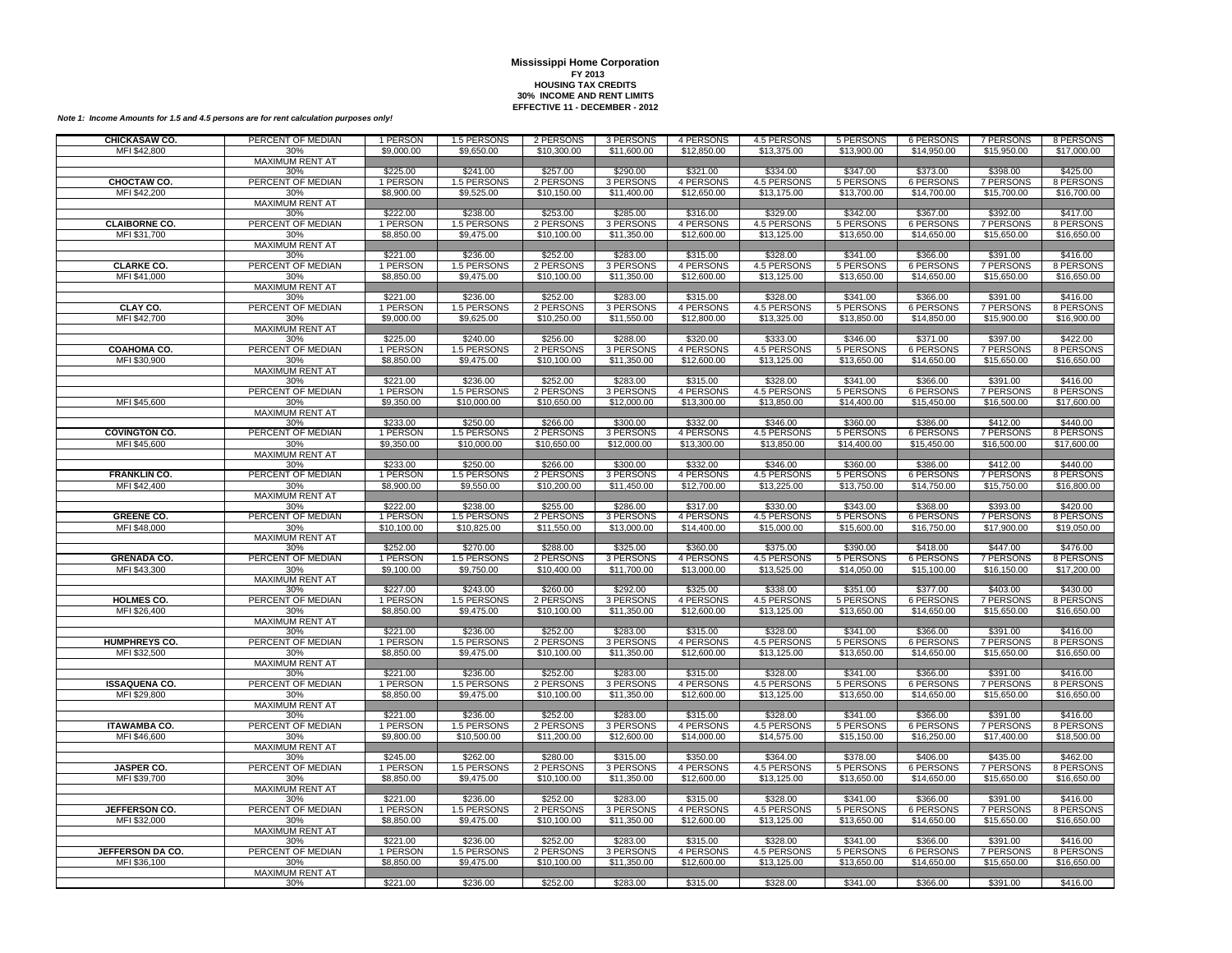| CHICKASAW CO.                     | PERCENT OF MEDIAN             | 1 PERSON               | 1.5 PERSONS               | 2 PERSONS                | 3 PERSONS                | 4 PERSONS                | 4.5 PERSONS                | 5 PERSONS                | 6 PERSONS                       | 7 PERSONS                       | 8 PERSONS                |
|-----------------------------------|-------------------------------|------------------------|---------------------------|--------------------------|--------------------------|--------------------------|----------------------------|--------------------------|---------------------------------|---------------------------------|--------------------------|
| MFI \$42,800                      | 30%                           | \$9,000.00             | \$9,650.00                | \$10,300.00              | \$11,600.00              | \$12,850.00              | \$13,375.00                | \$13,900.00              | \$14,950.00                     | \$15,950.00                     | \$17,000.00              |
|                                   | <b>MAXIMUM RENT AT</b>        |                        |                           |                          |                          |                          |                            |                          |                                 |                                 |                          |
| CHOCTAW CO.                       | 30%<br>PERCENT OF MEDIAN      | \$225.00<br>1 PERSON   | \$241.00<br>1.5 PERSONS   | \$257.00<br>2 PERSONS    | \$290.00<br>3 PERSONS    | \$321.00<br>4 PERSONS    | \$334.00<br>4.5 PERSONS    | \$347.00<br>5 PERSONS    | \$373.00<br><b>6 PERSONS</b>    | \$398.00<br>7 PERSONS           | \$425.00<br>8 PERSONS    |
| MFI \$42,200                      | 30%                           | \$8,900.00             | \$9,525.00                | \$10,150.00              | \$11,400.00              | \$12,650.00              | \$13,175.00                | \$13,700.00              | \$14,700.00                     | \$15,700.00                     | \$16,700.00              |
|                                   | MAXIMUM RENT AT               |                        |                           |                          |                          |                          |                            |                          |                                 |                                 |                          |
|                                   | 30%                           | \$222.00               | \$238.00                  | \$253.00                 | \$285.00                 | \$316.00                 | \$329.00                   | \$342.00                 | \$367.00                        | \$392.00                        | \$417.00                 |
| <b>CLAIBORNE CO.</b>              | PERCENT OF MEDIAN             | 1 PERSON               | 1.5 PERSONS               | 2 PERSONS                | 3 PERSONS                | 4 PERSONS                | <b>4.5 PERSONS</b>         | 5 PERSONS                | <b>6 PERSONS</b>                | <b>7 PERSONS</b>                | 8 PERSONS                |
| MFI \$31,700                      | 30%                           | \$8,850.00             | \$9,475.00                | \$10,100.00              | \$11,350.00              | \$12,600.00              | \$13,125.00                | \$13,650.00              | \$14,650.00                     | \$15,650.00                     | \$16,650.00              |
|                                   | <b>MAXIMUM RENT AT</b>        |                        |                           |                          |                          |                          |                            |                          |                                 |                                 |                          |
|                                   | 30%                           | \$221.00               | \$236.00                  | \$252.00                 | \$283.00                 | \$315.00                 | \$328.00                   | \$341.00                 | \$366.00                        | \$391.00                        | \$416.00                 |
| <b>CLARKE CO.</b><br>MFI \$41,000 | PERCENT OF MEDIAN             | 1 PERSON<br>\$8,850.00 | 1.5 PERSONS<br>\$9,475.00 | 2 PERSONS<br>\$10,100.00 | 3 PERSONS<br>\$11,350.00 | 4 PERSONS<br>\$12,600.00 | 4.5 PERSONS<br>\$13,125.00 | 5 PERSONS<br>\$13,650.00 | 6 PERSONS<br>\$14,650.00        | 7 PERSONS<br>\$15,650.00        | 8 PERSONS<br>\$16,650.00 |
|                                   | 30%<br><b>MAXIMUM RENT AT</b> |                        |                           |                          |                          |                          |                            |                          |                                 |                                 |                          |
|                                   | 30%                           | \$221.00               | \$236.00                  | \$252.00                 | \$283.00                 | \$315.00                 | \$328.00                   | \$341.00                 | \$366.00                        | \$391.00                        | \$416.00                 |
| CLAY CO.                          | PERCENT OF MEDIAN             | 1 PERSON               | 1.5 PERSONS               | 2 PERSONS                | 3 PERSONS                | 4 PERSONS                | 4.5 PERSONS                | 5 PERSONS                | 6 PERSONS                       | 7 PERSONS                       | 8 PERSONS                |
| MFI \$42,700                      | 30%                           | \$9,000.00             | \$9,625.00                | \$10,250.00              | \$11,550.00              | \$12,800.00              | \$13,325.00                | \$13,850.00              | \$14,850.00                     | \$15,900.00                     | \$16,900.00              |
|                                   | MAXIMUM RENT AT               |                        |                           |                          |                          |                          |                            |                          |                                 |                                 |                          |
|                                   | 30%                           | \$225.00               | \$240.00                  | \$256.00                 | \$288.00                 | \$320.00                 | \$333.00                   | \$346.00                 | \$371.00                        | \$397.00                        | \$422.00                 |
| <b>COAHOMA CO.</b>                | PERCENT OF MEDIAN             | 1 PERSON               | 1.5 PERSONS<br>\$9,475.00 | 2 PERSONS<br>\$10,100.00 | 3 PERSONS                | 4 PERSONS                | 4.5 PERSONS<br>\$13,125.00 | 5 PERSONS<br>\$13,650.00 | <b>6 PERSONS</b><br>\$14,650.00 | <b>7 PERSONS</b><br>\$15,650.00 | 8 PERSONS                |
| MFI \$30,900                      | 30%<br>MAXIMUM RENT AT        | \$8,850.00             |                           |                          | \$11,350.00              | \$12,600.00              |                            |                          |                                 |                                 | \$16,650.00              |
|                                   | 30%                           | \$221.00               | \$236.00                  | \$252.00                 | \$283.00                 | \$315.00                 | \$328.00                   | \$341.00                 | \$366.00                        | \$391.00                        | \$416.00                 |
|                                   | PERCENT OF MEDIAN             | 1 PERSON               | 1.5 PERSONS               | 2 PERSONS                | 3 PERSONS                | 4 PERSONS                | 4.5 PERSONS                | 5 PERSONS                | <b>6 PERSONS</b>                | <b>7 PERSONS</b>                | 8 PERSONS                |
| MFI \$45,600                      | 30%                           | \$9,350.00             | \$10,000.00               | \$10,650.00              | \$12,000.00              | \$13,300.00              | \$13,850.00                | \$14,400.00              | \$15,450.00                     | \$16,500.00                     | \$17,600.00              |
|                                   | <b>MAXIMUM RENT AT</b>        |                        |                           |                          |                          |                          |                            |                          |                                 |                                 |                          |
|                                   | 30%                           | \$233.00               | \$250.00                  | \$266.00                 | \$300.00                 | \$332.00                 | \$346.00                   | \$360.00                 | \$386.00                        | \$412.00                        | \$440.00                 |
| <b>COVINGTON CO.</b>              | PERCENT OF MEDIAN             | 1 PERSON               | 1.5 PERSONS               | 2 PERSONS                | 3 PERSONS                | 4 PERSONS                | 4.5 PERSONS                | 5 PERSONS                | 6 PERSONS                       | 7 PERSONS                       | 8 PERSONS                |
| MFI \$45,600                      | 30%<br>MAXIMUM RENT AT        | \$9,350.00             | \$10,000.00               | \$10,650.00              | \$12,000.00              | \$13,300.00              | \$13,850.00                | \$14,400.00              | \$15,450.00                     | \$16,500.00                     | \$17,600.00              |
|                                   | 30%                           | \$233.00               | \$250.00                  | \$266.00                 | \$300.00                 | \$332.00                 | \$346.00                   | \$360.00                 | \$386.00                        | \$412.00                        | \$440.00                 |
| <b>FRANKLIN CO.</b>               | PERCENT OF MEDIAN             | 1 PERSON               | 1.5 PERSONS               | 2 PERSONS                | 3 PERSONS                | 4 PERSONS                | 4.5 PERSONS                | 5 PERSONS                | 6 PERSONS                       | 7 PERSONS                       | 8 PERSONS                |
| MFI \$42,400                      | 30%                           | \$8,900.00             | \$9,550.00                | \$10,200.00              | \$11,450.00              | \$12,700.00              | \$13,225.00                | \$13,750.00              | \$14,750.00                     | \$15,750.00                     | \$16,800.00              |
|                                   | MAXIMUM RENT AT               |                        |                           |                          |                          |                          |                            |                          |                                 |                                 |                          |
|                                   | 30%                           | \$222.00               | \$238.00                  | \$255.00                 | \$286.00                 | \$317.00                 | \$330.00                   | \$343.00                 | \$368.00                        | \$393.00                        | \$420.00                 |
| <b>GREENE CO.</b>                 | PERCENT OF MEDIAN             | 1 PERSON               | 1.5 PERSONS               | 2 PERSONS                | 3 PERSONS                | 4 PERSONS                | 4.5 PERSONS                | 5 PERSONS                | <b>6 PERSONS</b>                | 7 PERSONS                       | 8 PERSONS                |
| MFI \$48,000                      | 30%<br>MAXIMUM RENT AT        | \$10,100.00            | \$10,825.00               | \$11,550.00              | \$13,000.00              | \$14,400.00              | \$15,000.00                | \$15,600.00              | \$16,750.00                     | \$17,900.00                     | \$19,050.00              |
|                                   | 30%                           | \$252.00               | \$270.00                  | \$288.00                 | \$325.00                 | \$360.00                 | \$375.00                   | \$390.00                 | \$418.00                        | \$447.00                        | \$476.00                 |
| <b>GRENADA CO.</b>                | PERCENT OF MEDIAN             | 1 PERSON               | 1.5 PERSONS               | 2 PERSONS                | 3 PERSONS                | 4 PERSONS                | <b>4.5 PERSONS</b>         | 5 PERSONS                | <b>6 PERSONS</b>                | <b>7 PERSONS</b>                | 8 PERSONS                |
| MFI \$43,300                      | 30%                           | \$9,100.00             | \$9,750.00                | \$10,400.00              | \$11,700.00              | \$13,000.00              | \$13,525.00                | \$14,050.00              | \$15,100.00                     | \$16,150.00                     | \$17,200.00              |
|                                   | <b>MAXIMUM RENT AT</b>        |                        |                           |                          |                          |                          |                            |                          |                                 |                                 |                          |
|                                   | 30%                           | \$227.00               | \$243.00                  | \$260.00                 | \$292.00                 | \$325.00                 | \$338.00                   | \$351.00                 | \$377.00                        | \$403.00                        | \$430.00                 |
| <b>HOLMES CO.</b><br>MFI \$26,400 | PERCENT OF MEDIAN<br>30%      | 1 PERSON<br>\$8,850.00 | 1.5 PERSONS<br>\$9,475.00 | 2 PERSONS<br>\$10,100.00 | 3 PERSONS<br>\$11,350.00 | 4 PERSONS<br>\$12,600.00 | 4.5 PERSONS<br>\$13,125.00 | 5 PERSONS<br>\$13,650.00 | 6 PERSONS<br>\$14,650.00        | 7 PERSONS<br>\$15,650.00        | 8 PERSONS<br>\$16,650.00 |
|                                   | MAXIMUM RENT AT               |                        |                           |                          |                          |                          |                            |                          |                                 |                                 |                          |
|                                   | 30%                           | \$221.00               | \$236.00                  | \$252.00                 | \$283.00                 | \$315.00                 | \$328.00                   | \$341.00                 | \$366.00                        | \$391.00                        | \$416.00                 |
| <b>HUMPHREYS CO.</b>              | PERCENT OF MEDIAN             | 1 PERSON               | 1.5 PERSONS               | 2 PERSONS                | 3 PERSONS                | 4 PERSONS                | 4.5 PERSONS                | 5 PERSONS                | <b>6 PERSONS</b>                | 7 PERSONS                       | 8 PERSONS                |
| MFI \$32,500                      | 30%                           | \$8,850.00             | \$9,475.00                | \$10,100.00              | \$11,350.00              | \$12,600.00              | \$13,125.00                | \$13,650.00              | \$14,650.00                     | \$15,650.00                     | \$16,650.00              |
|                                   | MAXIMUM RENT AT               |                        |                           |                          |                          |                          |                            |                          |                                 |                                 |                          |
|                                   | 30%                           | \$221.00               | \$236.00                  | \$252.00                 | \$283.00                 | \$315.00                 | \$328.00                   | \$341.00                 | \$366.00                        | \$391.00                        | \$416.00                 |
| <b>ISSAQUENA CO.</b>              | PERCENT OF MEDIAN             | 1 PERSON<br>\$8,850.00 | 1.5 PERSONS<br>\$9,475.00 | 2 PERSONS<br>\$10,100.00 | 3 PERSONS<br>\$11,350.00 | 4 PERSONS<br>\$12,600.00 | 4.5 PERSONS<br>\$13,125.00 | 5 PERSONS<br>\$13,650.00 | <b>6 PERSONS</b><br>\$14,650.00 | 7 PERSONS<br>\$15,650.00        | 8 PERSONS<br>\$16,650.00 |
| MFI \$29,800                      | 30%<br><b>MAXIMUM RENT AT</b> |                        |                           |                          |                          |                          |                            |                          |                                 |                                 |                          |
|                                   | 30%                           | \$221.00               | \$236.00                  | \$252.00                 | \$283.00                 | \$315.00                 | \$328.00                   | \$341.00                 | \$366.00                        | \$391.00                        | \$416.00                 |
| <b>ITAWAMBA CO.</b>               | PERCENT OF MEDIAN             | 1 PERSON               | 1.5 PERSONS               | 2 PERSONS                | 3 PERSONS                | 4 PERSONS                | 4.5 PERSONS                | 5 PERSONS                | <b>6 PERSONS</b>                | <b>7 PERSONS</b>                | 8 PERSONS                |
| MFI \$46,600                      | 30%                           | \$9,800.00             | \$10,500.00               | \$11,200.00              | \$12,600.00              | \$14,000.00              | \$14,575.00                | \$15,150.00              | \$16,250.00                     | \$17,400.00                     | \$18,500.00              |
|                                   | <b>MAXIMUM RENT AT</b>        |                        |                           |                          |                          |                          |                            |                          |                                 |                                 |                          |
|                                   | 30%                           | \$245.00               | \$262.00                  | \$280.00                 | \$315.00                 | \$350.00                 | \$364.00                   | \$378.00                 | \$406.00                        | \$435.00                        | \$462.00                 |
| <b>JASPER CO.</b>                 | PERCENT OF MEDIAN             | 1 PERSON               | 1.5 PERSONS               | 2 PERSONS                | 3 PERSONS                | 4 PERSONS                | 4.5 PERSONS                | 5 PERSONS                | <b>6 PERSONS</b>                | 7 PERSONS                       | 8 PERSONS                |
| MFI \$39,700                      | 30%<br>MAXIMUM RENT AT        | \$8,850.00             | \$9,475.00                | \$10,100.00              | \$11,350.00              | \$12,600.00              | \$13,125.00                | \$13,650.00              | \$14,650.00                     | \$15,650.00                     | \$16,650.00              |
|                                   | 30%                           | \$221.00               | \$236.00                  | \$252.00                 | \$283.00                 | \$315.00                 | \$328.00                   | \$341.00                 | \$366.00                        | \$391.00                        | \$416.00                 |
| JEFFERSON CO.                     | PERCENT OF MEDIAN             | 1 PERSON               | 1.5 PERSONS               | 2 PERSONS                | 3 PERSONS                | 4 PERSONS                | 4.5 PERSONS                | 5 PERSONS                | 6 PERSONS                       | 7 PERSONS                       | 8 PERSONS                |
| MFI \$32,000                      | 30%                           | \$8,850.00             | \$9,475.00                | \$10,100.00              | \$11,350.00              | \$12,600.00              | \$13,125.00                | \$13,650.00              | \$14,650.00                     | \$15,650.00                     | \$16,650.00              |
|                                   | <b>MAXIMUM RENT AT</b>        |                        |                           |                          |                          |                          |                            |                          |                                 |                                 |                          |
|                                   | 30%                           | \$221.00               | \$236.00                  | \$252.00                 | \$283.00                 | \$315.00                 | \$328.00                   | \$341.00                 | \$366.00                        | \$391.00                        | \$416.00                 |
| <b>JEFFERSON DA CO.</b>           | PERCENT OF MEDIAN             | 1 PERSON               | 1.5 PERSONS               | 2 PERSONS                | 3 PERSONS                | 4 PERSONS                | 4.5 PERSONS                | 5 PERSONS                | <b>6 PERSONS</b>                | 7 PERSONS                       | 8 PERSONS                |
| MFI \$36,100                      | 30%<br><b>MAXIMUM RENT AT</b> | \$8,850.00             | \$9,475.00                | \$10,100.00              | \$11,350.00              | \$12,600.00              | \$13,125.00                | \$13,650.00              | \$14,650.00                     | \$15,650.00                     | \$16,650.00              |
|                                   | 30%                           | \$221.00               | \$236.00                  | \$252.00                 | \$283.00                 | \$315.00                 | \$328.00                   | \$341.00                 | \$366.00                        | \$391.00                        | \$416.00                 |
|                                   |                               |                        |                           |                          |                          |                          |                            |                          |                                 |                                 |                          |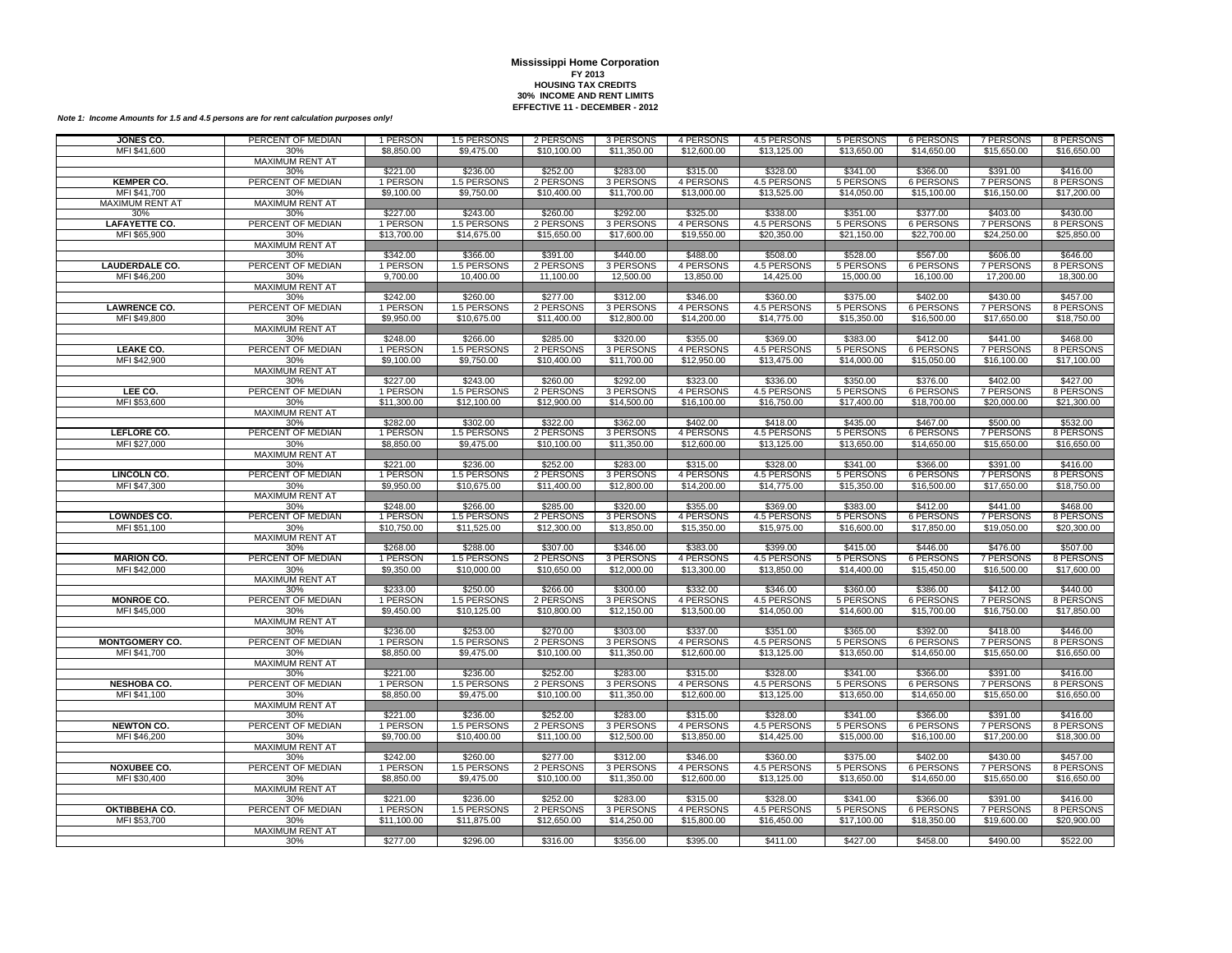| JONES CO.              | PERCENT OF MEDIAN             | 1 PERSON             | 1.5 PERSONS             | 2 PERSONS             | 3 PERSONS             | 4 PERSONS             | 4.5 PERSONS             | 5 PERSONS             | 6 PERSONS                    | 7 PERSONS                    | 8 PERSONS             |
|------------------------|-------------------------------|----------------------|-------------------------|-----------------------|-----------------------|-----------------------|-------------------------|-----------------------|------------------------------|------------------------------|-----------------------|
| MFI \$41,600           | 30%                           | \$8,850.00           | \$9,475.00              | \$10,100.00           | \$11,350.00           | \$12,600.00           | \$13,125.00             | \$13,650.00           | \$14,650.00                  | \$15,650.00                  | \$16,650.00           |
|                        | <b>MAXIMUM RENT AT</b>        |                      |                         |                       |                       |                       |                         |                       |                              |                              |                       |
|                        | 30%                           | \$221.00             | \$236.00                | \$252.00              | \$283.00              | \$315.00              | \$328.00                | \$341.00              | \$366.00                     | \$391.00                     | \$416.00              |
| <b>KEMPER CO.</b>      | PERCENT OF MEDIAN             | 1 PERSON             | 1.5 PERSONS             | 2 PERSONS             | 3 PERSONS             | 4 PERSONS             | 4.5 PERSONS             | 5 PERSONS             | <b>6 PERSONS</b>             | 7 PERSONS                    | 8 PERSONS             |
| MFI \$41,700           | 30%                           | \$9,100.00           | \$9,750.00              | \$10,400.00           | \$11,700.00           | \$13,000.00           | \$13,525.00             | \$14,050.00           | \$15,100.00                  | \$16,150.00                  | \$17,200.00           |
| <b>MAXIMUM RENT AT</b> | <b>MAXIMUM RENT AT</b>        |                      |                         |                       |                       |                       |                         |                       |                              |                              |                       |
| 30%                    | 30%                           | \$227.00             | \$243.00                | \$260.00              | \$292.00              | \$325.00              | \$338.00                | \$351.00              | \$377.00                     | \$403.00                     | \$430.00              |
| <b>LAFAYETTE CO.</b>   | PERCENT OF MEDIAN             | 1 PERSON             | 1.5 PERSONS             | 2 PERSONS             | 3 PERSONS             | 4 PERSONS             | 4.5 PERSONS             | 5 PERSONS             | <b>6 PERSONS</b>             | 7 PERSONS                    | 8 PERSONS             |
| MFI \$65,900           | 30%                           | \$13,700.00          | \$14,675.00             | \$15,650.00           | \$17,600.00           | \$19,550.00           | \$20,350.00             | \$21,150.00           | \$22,700.00                  | \$24,250.00                  | \$25,850.00           |
|                        | <b>MAXIMUM RENT AT</b><br>30% | \$342.00             | \$366.00                | \$391.00              | \$440.00              | \$488.00              | \$508.00                | \$528.00              | \$567.00                     | \$606.00                     | \$646.00              |
| <b>LAUDERDALE CO.</b>  | PERCENT OF MEDIAN             | 1 PERSON             | 1.5 PERSONS             | 2 PERSONS             | 3 PERSONS             | 4 PERSONS             | 4.5 PERSONS             | 5 PERSONS             | <b>6 PERSONS</b>             | 7 PERSONS                    | 8 PERSONS             |
| MFI \$46,200           | 30%                           | 9,700.00             | 10,400.00               | 11,100.00             | 12,500.00             | 13,850.00             | 14,425.00               | 15,000.00             | 16,100.00                    | 17,200.00                    | 18,300.00             |
|                        | <b>MAXIMUM RENT AT</b>        |                      |                         |                       |                       |                       |                         |                       |                              |                              |                       |
|                        | 30%                           | \$242.00             | \$260.00                | \$277.00              | \$312.00              | \$346.00              | \$360.00                | \$375.00              | \$402.00                     | \$430.00                     | \$457.00              |
| <b>LAWRENCE CO.</b>    | PERCENT OF MEDIAN             | 1 PERSON             | 1.5 PERSONS             | 2 PERSONS             | 3 PERSONS             | 4 PERSONS             | 4.5 PERSONS             | 5 PERSONS             | 6 PERSONS                    | 7 PERSONS                    | 8 PERSONS             |
| MFI \$49,800           | 30%                           | \$9,950.00           | \$10,675.00             | \$11,400.00           | \$12,800.00           | \$14,200.00           | \$14,775.00             | \$15,350.00           | \$16,500.00                  | \$17,650.00                  | \$18,750.00           |
|                        | <b>MAXIMUM RENT AT</b>        |                      |                         |                       |                       |                       |                         |                       |                              |                              |                       |
|                        | 30%                           | \$248.00             | \$266.00                | \$285.00              | \$320.00              | \$355.00              | \$369.00                | \$383.00              | \$412.00                     | \$441.00                     | \$468.00              |
| LEAKE CO.              | PERCENT OF MEDIAN             | 1 PERSON             | 1.5 PERSONS             | 2 PERSONS             | 3 PERSONS             | 4 PERSONS             | 4.5 PERSONS             | 5 PERSONS             | <b>6 PERSONS</b>             | 7 PERSONS                    | 8 PERSONS             |
| MFI \$42,900           | 30%                           | \$9,100.00           | \$9,750.00              | \$10,400.00           | \$11,700.00           | \$12,950.00           | \$13,475.00             | \$14,000.00           | \$15,050.00                  | \$16,100.00                  | \$17,100.00           |
|                        | <b>MAXIMUM RENT AT</b>        |                      |                         |                       |                       |                       |                         |                       |                              |                              |                       |
|                        | 30%                           | \$227.00             | \$243.00                | \$260.00              | \$292.00              | \$323.00              | \$336.00                | \$350.00              | \$376.00                     | \$402.00                     | \$427.00              |
| LEE CO.                | PERCENT OF MEDIAN             | 1 PERSON             | 1.5 PERSONS             | 2 PERSONS             | 3 PERSONS             | 4 PERSONS             | 4.5 PERSONS             | 5 PERSONS             | <b>6 PERSONS</b>             | <b>7 PERSONS</b>             | 8 PERSONS             |
| MFI \$53,600           | 30%                           | \$11,300.00          | \$12,100.00             | \$12,900.00           | \$14,500.00           | \$16,100.00           | \$16,750.00             | \$17,400.00           | \$18,700.00                  | \$20,000.00                  | \$21,300.00           |
|                        | <b>MAXIMUM RENT AT</b>        |                      |                         |                       |                       |                       |                         |                       |                              |                              |                       |
|                        | 30%                           | \$282.00             | \$302.00                | \$322.00              | \$362.00              | \$402.00              | \$418.00                | \$435.00              | \$467.00                     | \$500.00                     | \$532.00              |
| LEFLORE CO.            | PERCENT OF MEDIAN             | 1 PERSON             | 1.5 PERSONS             | 2 PERSONS             | 3 PERSONS             | 4 PERSONS             | 4.5 PERSONS             | 5 PERSONS             | <b>6 PERSONS</b>             | 7 PERSONS                    | 8 PERSONS             |
| MFI \$27,000           | 30%<br><b>MAXIMUM RENT AT</b> | \$8,850.00           | \$9,475.00              | \$10,100.00           | \$11,350.00           | \$12,600.00           | \$13,125.00             | \$13,650.00           | \$14,650.00                  | \$15,650.00                  | \$16,650.00           |
|                        | 30%                           | \$221.00             | \$236.00                | \$252.00              | \$283.00              | \$315.00              | \$328.00                | \$341.00              | \$366.00                     | \$391.00                     | \$416.00              |
| <b>LINCOLN CO.</b>     | PERCENT OF MEDIAN             | 1 PERSON             | 1.5 PERSONS             | 2 PERSONS             | 3 PERSONS             | 4 PERSONS             | 4.5 PERSONS             | 5 PERSONS             | <b>6 PERSONS</b>             | 7 PERSONS                    | 8 PERSONS             |
| MFI \$47,300           | 30%                           | \$9,950.00           | \$10,675,00             | \$11,400.00           | \$12,800.00           | \$14,200.00           | \$14,775.00             | \$15,350.00           | \$16,500.00                  | \$17,650.00                  | \$18,750.00           |
|                        | MAXIMUM RENT AT               |                      |                         |                       |                       |                       |                         |                       |                              |                              |                       |
|                        | 30%                           | \$248.00             | \$266.00                | \$285.00              | \$320.00              | \$355.00              | \$369.00                | \$383.00              | \$412.00                     | \$441.00                     | \$468.00              |
| <b>LOWNDES CO.</b>     | PERCENT OF MEDIAN             | 1 PERSON             | 1.5 PERSONS             | 2 PERSONS             | 3 PERSONS             | 4 PERSONS             | 4.5 PERSONS             | 5 PERSONS             | <b>6 PERSONS</b>             | <b>7 PERSONS</b>             | 8 PERSONS             |
| MFI \$51,100           | 30%                           | \$10,750.00          | \$11,525.00             | \$12,300.00           | \$13,850.00           | \$15,350.00           | \$15,975.00             | \$16,600.00           | \$17,850.00                  | \$19,050.00                  | \$20,300.00           |
|                        | <b>MAXIMUM RENT AT</b>        |                      |                         |                       |                       |                       |                         |                       |                              |                              |                       |
|                        | 30%                           | \$268.00             | \$288.00                | \$307.00              | \$346.00              | \$383.00              | \$399.00                | \$415.00              | \$446.00                     | \$476.00                     | \$507.00              |
| <b>MARION CO.</b>      | PERCENT OF MEDIAN             | 1 PERSON             | 1.5 PERSONS             | 2 PERSONS             | 3 PERSONS             | 4 PERSONS             | 4.5 PERSONS             | 5 PERSONS             | <b>6 PERSONS</b>             | 7 PERSONS                    | 8 PERSONS             |
| MFI \$42,000           | 30%                           | \$9,350.00           | \$10,000.00             | \$10,650.00           | \$12,000.00           | \$13,300.00           | \$13,850.00             | \$14,400.00           | \$15,450.00                  | \$16,500.00                  | \$17,600.00           |
|                        | <b>MAXIMUM RENT AT</b>        |                      |                         |                       |                       |                       |                         |                       |                              |                              |                       |
|                        | 30%                           | \$233.00             | \$250.00                | \$266.00              | \$300.00              | \$332.00              | \$346.00                | \$360.00              | \$386.00                     | \$412.00                     | \$440.00              |
| <b>MONROE CO.</b>      | PERCENT OF MEDIAN             | 1 PERSON             | 1.5 PERSONS             | 2 PERSONS             | 3 PERSONS             | 4 PERSONS             | 4.5 PERSONS             | 5 PERSONS             | 6 PERSONS                    | 7 PERSONS                    | 8 PERSONS             |
| MFI \$45,000           | 30%                           | \$9,450.00           | \$10,125.00             | \$10,800.00           | \$12,150.00           | \$13,500.00           | \$14,050.00             | \$14,600.00           | \$15,700.00                  | \$16,750.00                  | \$17,850.00           |
|                        | <b>MAXIMUM RENT AT</b>        |                      |                         |                       |                       |                       |                         |                       |                              |                              |                       |
| <b>MONTGOMERY CO.</b>  | 30%<br>PERCENT OF MEDIAN      | \$236.00<br>1 PERSON | \$253.00<br>1.5 PERSONS | \$270.00<br>2 PERSONS | \$303.00<br>3 PERSONS | \$337.00<br>4 PERSONS | \$351.00<br>4.5 PERSONS | \$365.00<br>5 PERSONS | \$392.00<br><b>6 PERSONS</b> | \$418.00<br><b>7 PERSONS</b> | \$446.00<br>8 PERSONS |
| MFI \$41,700           |                               | \$8,850.00           |                         |                       | \$11,350.00           |                       | \$13,125.00             | \$13,650.00           |                              | \$15,650.00                  |                       |
|                        | 30%<br>MAXIMUM RENT AT        |                      | \$9,475.00              | \$10,100.00           |                       | \$12,600.00           |                         |                       | \$14,650.00                  |                              | \$16,650.00           |
|                        | 30%                           | \$221.00             | \$236.00                | \$252.00              | \$283.00              | \$315.00              | \$328.00                | \$341.00              | \$366.00                     | \$391.00                     | \$416.00              |
| <b>NESHOBA CO.</b>     | PERCENT OF MEDIAN             | 1 PERSON             | 1.5 PERSONS             | 2 PERSONS             | 3 PERSONS             | 4 PERSONS             | 4.5 PERSONS             | 5 PERSONS             | 6 PERSONS                    | 7 PERSONS                    | 8 PERSONS             |
| MFI \$41,100           | 30%                           | \$8,850.00           | \$9,475.00              | \$10,100.00           | \$11,350.00           | \$12,600.00           | \$13,125.00             | \$13,650.00           | \$14,650.00                  | \$15,650.00                  | \$16,650.00           |
|                        | MAXIMUM RENT AT               |                      |                         |                       |                       |                       |                         |                       |                              |                              |                       |
|                        | 30%                           | \$221.00             | \$236.00                | \$252.00              | \$283.00              | \$315.00              | \$328.00                | \$341.00              | \$366.00                     | \$391.00                     | \$416.00              |
| <b>NEWTON CO.</b>      | PERCENT OF MEDIAN             | 1 PERSON             | 1.5 PERSONS             | 2 PERSONS             | 3 PERSONS             | 4 PERSONS             | 4.5 PERSONS             | 5 PERSONS             | <b>6 PERSONS</b>             | 7 PERSONS                    | 8 PERSONS             |
| MFI \$46,200           | 30%                           | \$9,700.00           | \$10,400.00             | \$11,100.00           | \$12,500.00           | \$13,850.00           | \$14,425.00             | \$15,000.00           | \$16,100.00                  | \$17,200.00                  | \$18,300.00           |
|                        | <b>MAXIMUM RENT AT</b>        |                      |                         |                       |                       |                       |                         |                       |                              |                              |                       |
|                        | 30%                           | \$242.00             | \$260.00                | \$277.00              | \$312.00              | \$346.00              | \$360.00                | \$375.00              | \$402.00                     | \$430.00                     | \$457.00              |
| <b>NOXUBEE CO.</b>     | PERCENT OF MEDIAN             | 1 PERSON             | 1.5 PERSONS             | 2 PERSONS             | 3 PERSONS             | 4 PERSONS             | 4.5 PERSONS             | 5 PERSONS             | 6 PERSONS                    | 7 PERSONS                    | 8 PERSONS             |
| MFI \$30,400           | 30%                           | \$8,850.00           | \$9,475.00              | \$10,100.00           | \$11,350.00           | \$12,600.00           | \$13,125.00             | \$13,650.00           | \$14,650.00                  | \$15,650.00                  | \$16,650.00           |
|                        | <b>MAXIMUM RENT AT</b>        |                      |                         |                       |                       |                       |                         |                       |                              |                              |                       |
|                        | 30%                           | \$221.00             | \$236.00                | \$252.00              | \$283.00              | \$315.00              | \$328.00                | \$341.00              | \$366.00                     | \$391.00                     | \$416.00              |
| OKTIBBEHA CO.          | PERCENT OF MEDIAN             | 1 PERSON             | 1.5 PERSONS             | 2 PERSONS             | 3 PERSONS             | 4 PERSONS             | 4.5 PERSONS             | 5 PERSONS             | 6 PERSONS                    | 7 PERSONS                    | 8 PERSONS             |
| MFI \$53,700           | 30%<br><b>MAXIMUM RENT AT</b> | \$11,100.00          | \$11,875.00             | \$12,650.00           | \$14,250.00           | \$15,800.00           | \$16,450.00             | \$17,100.00           | \$18,350.00                  | \$19,600.00                  | \$20,900.00           |
|                        | 30%                           | \$277.00             | \$296.00                | \$316.00              | \$356.00              | \$395.00              | \$411.00                | \$427.00              | \$458.00                     | \$490.00                     | \$522.00              |
|                        |                               |                      |                         |                       |                       |                       |                         |                       |                              |                              |                       |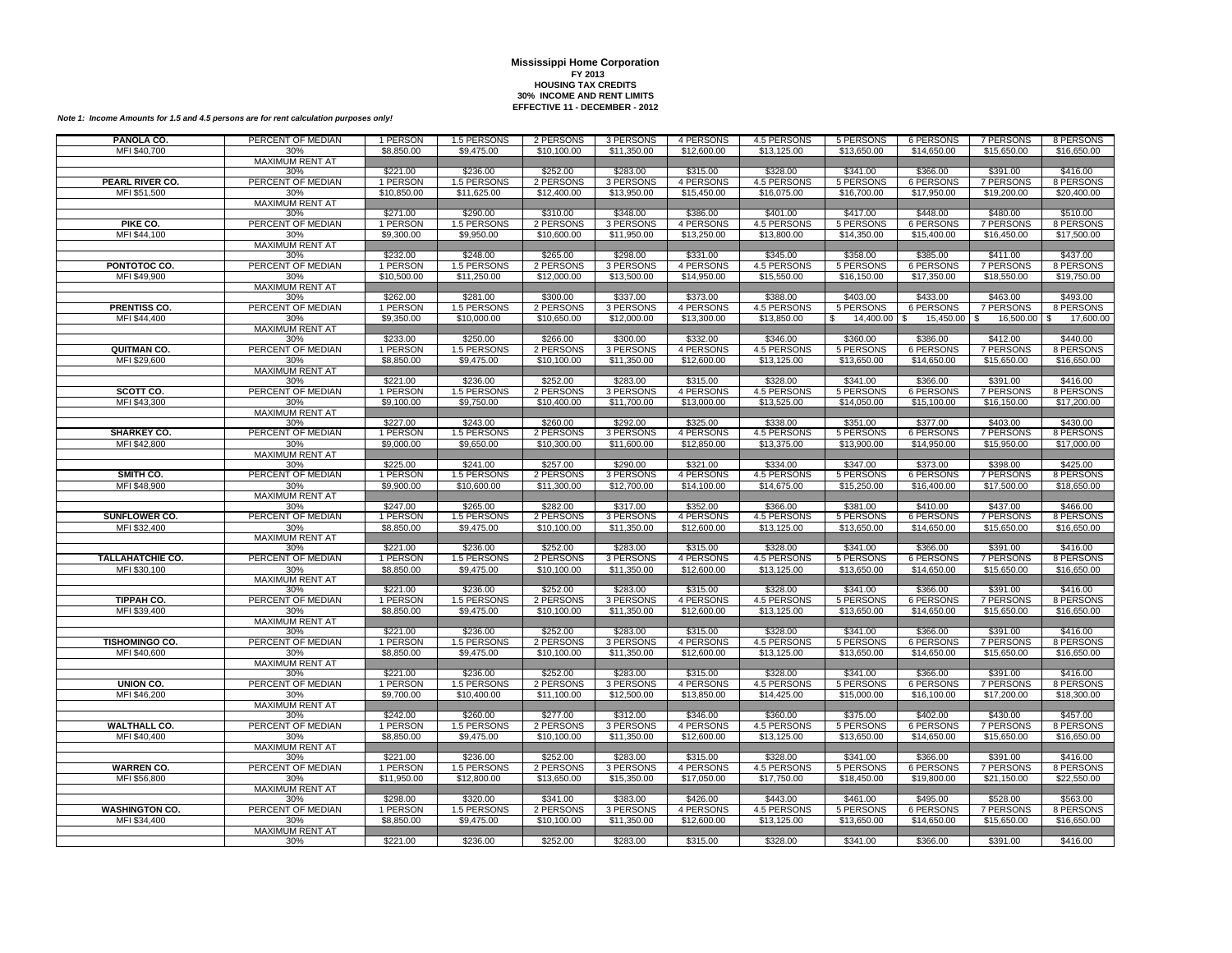| PANOLA CO.                           | PERCENT OF MEDIAN             | 1 PERSON                | 1.5 PERSONS                | 2 PERSONS                | 3 PERSONS                | 4 PERSONS                | 4.5 PERSONS                | 5 PERSONS                 | <b>6 PERSONS</b>                | 7 PERSONS                | 8 PERSONS                |
|--------------------------------------|-------------------------------|-------------------------|----------------------------|--------------------------|--------------------------|--------------------------|----------------------------|---------------------------|---------------------------------|--------------------------|--------------------------|
| MFI \$40,700                         | 30%                           | \$8,850.00              | \$9,475.00                 | \$10,100.00              | \$11,350.00              | \$12,600.00              | \$13,125.00                | \$13,650.00               | \$14,650.00                     | \$15,650.00              | \$16,650.00              |
|                                      | <b>MAXIMUM RENT AT</b>        |                         |                            |                          |                          |                          |                            |                           |                                 |                          |                          |
| <b>PEARL RIVER CO.</b>               | 30%<br>PERCENT OF MEDIAN      | \$221.00<br>1 PERSON    | \$236.00<br>1.5 PERSONS    | \$252.00<br>2 PERSONS    | \$283.00<br>3 PERSONS    | \$315.00<br>4 PERSONS    | \$328.00<br>4.5 PERSONS    | \$341.00<br>5 PERSONS     | \$366.00<br>6 PERSONS           | \$391.00<br>7 PERSONS    | \$416.00<br>8 PERSONS    |
| MFI \$51,500                         | 30%                           | \$10,850.00             | \$11,625,00                | \$12,400.00              | \$13,950.00              | \$15,450.00              | \$16,075.00                | \$16,700.00               | \$17,950.00                     | \$19,200.00              | \$20,400.00              |
|                                      | <b>MAXIMUM RENT AT</b>        |                         |                            |                          |                          |                          |                            |                           |                                 |                          |                          |
|                                      | 30%                           | \$271.00                | \$290.00                   | \$310.00                 | \$348.00                 | \$386.00                 | \$401.00                   | \$417.00                  | \$448.00                        | \$480.00                 | \$510.00                 |
| PIKE CO.                             | PERCENT OF MEDIAN             | 1 PERSON                | 1.5 PERSONS                | 2 PERSONS                | 3 PERSONS                | 4 PERSONS                | 4.5 PERSONS                | 5 PERSONS                 | 6 PERSONS                       | 7 PERSONS                | 8 PERSONS                |
| MFI \$44,100                         | 30%                           | \$9,300.00              | \$9,950.00                 | \$10,600.00              | \$11,950.00              | \$13,250.00              | \$13,800.00                | \$14,350.00               | \$15,400.00                     | \$16,450.00              | \$17,500.00              |
|                                      | MAXIMUM RENT AT               |                         |                            |                          |                          |                          |                            |                           |                                 |                          |                          |
|                                      | 30%<br>PERCENT OF MEDIAN      | \$232.00                | \$248.00                   | \$265.00                 | \$298.00                 | \$331.00<br>4 PERSONS    | \$345.00                   | \$358.00                  | \$385.00                        | \$411.00                 | \$437.00                 |
| PONTOTOC CO.<br>MFI \$49,900         | 30%                           | 1 PERSON<br>\$10,500.00 | 1.5 PERSONS<br>\$11,250.00 | 2 PERSONS<br>\$12,000.00 | 3 PERSONS<br>\$13,500.00 | \$14,950.00              | 4.5 PERSONS<br>\$15,550.00 | 5 PERSONS<br>\$16,150.00  | 6 PERSONS<br>\$17,350.00        | 7 PERSONS<br>\$18,550.00 | 8 PERSONS<br>\$19,750.00 |
|                                      | <b>MAXIMUM RENT AT</b>        |                         |                            |                          |                          |                          |                            |                           |                                 |                          |                          |
|                                      | 30%                           | \$262.00                | \$281.00                   | \$300.00                 | \$337.00                 | \$373.00                 | \$388.00                   | \$403.00                  | \$433.00                        | \$463.00                 | \$493.00                 |
| <b>PRENTISS CO.</b>                  | PERCENT OF MEDIAN             | 1 PERSON                | 1.5 PERSONS                | 2 PERSONS                | 3 PERSONS                | 4 PERSONS                | 4.5 PERSONS                | 5 PERSONS                 | 6 PERSONS                       | 7 PERSONS                | 8 PERSONS                |
| MFI \$44,400                         | 30%                           | \$9,350.00              | \$10,000.00                | \$10,650.00              | \$12,000.00              | \$13,300.00              | \$13,850.00                | 14,400.00<br>$\mathbb{S}$ | 15,450.00<br>$\mathfrak{L}$     | 16,500.00 \$<br>\$.      | 17,600.00                |
|                                      | <b>MAXIMUM RENT AT</b>        |                         |                            |                          |                          |                          |                            |                           |                                 |                          |                          |
|                                      | 30%                           | \$233.00                | \$250.00                   | \$266.00                 | \$300.00                 | \$332.00                 | \$346.00                   | \$360.00                  | \$386.00                        | \$412.00                 | \$440.00                 |
| <b>QUITMAN CO.</b>                   | PERCENT OF MEDIAN             | 1 PERSON<br>\$8,850.00  | 1.5 PERSONS<br>\$9,475.00  | 2 PERSONS                | 3 PERSONS                | 4 PERSONS<br>\$12,600.00 | 4.5 PERSONS<br>\$13,125.00 | 5 PERSONS<br>\$13,650.00  | <b>6 PERSONS</b>                | 7 PERSONS                | 8 PERSONS                |
| MFI \$29,600                         | 30%<br><b>MAXIMUM RENT AT</b> |                         |                            | \$10,100.00              | \$11,350.00              |                          |                            |                           | \$14,650.00                     | \$15,650.00              | \$16,650.00              |
|                                      | 30%                           | \$221.00                | \$236.00                   | \$252.00                 | \$283.00                 | \$315.00                 | \$328.00                   | \$341.00                  | \$366.00                        | \$391.00                 | \$416.00                 |
| SCOTT CO.                            | PERCENT OF MEDIAN             | 1 PERSON                | 1.5 PERSONS                | 2 PERSONS                | 3 PERSONS                | 4 PERSONS                | 4.5 PERSONS                | 5 PERSONS                 | 6 PERSONS                       | 7 PERSONS                | 8 PERSONS                |
| MFI \$43,300                         | 30%                           | \$9,100.00              | \$9,750.00                 | \$10,400.00              | \$11,700.00              | \$13,000.00              | \$13,525.00                | \$14,050.00               | \$15,100.00                     | \$16,150.00              | \$17,200.00              |
|                                      | <b>MAXIMUM RENT AT</b>        |                         |                            |                          |                          |                          |                            |                           |                                 |                          |                          |
|                                      | 30%                           | \$227.00                | \$243.00                   | \$260.00                 | \$292.00                 | \$325.00                 | \$338.00                   | \$351.00                  | \$377.00                        | \$403.00                 | \$430.00                 |
| <b>SHARKEY CO.</b><br>MFI \$42,800   | PERCENT OF MEDIAN             | 1 PERSON<br>\$9,000.00  | 1.5 PERSONS<br>\$9,650.00  | 2 PERSONS<br>\$10,300.00 | 3 PERSONS<br>\$11,600.00 | 4 PERSONS<br>\$12,850.00 | 4.5 PERSONS<br>\$13,375.00 | 5 PERSONS<br>\$13,900.00  | 6 PERSONS<br>\$14,950.00        | 7 PERSONS<br>\$15,950.00 | 8 PERSONS<br>\$17,000.00 |
|                                      | 30%<br><b>MAXIMUM RENT AT</b> |                         |                            |                          |                          |                          |                            |                           |                                 |                          |                          |
|                                      | 30%                           | \$225.00                | \$241.00                   | \$257.00                 | \$290.00                 | \$321.00                 | \$334.00                   | \$347.00                  | \$373.00                        | \$398.00                 | \$425.00                 |
| SMITH CO.                            | PERCENT OF MEDIAN             | 1 PERSON                | 1.5 PERSONS                | 2 PERSONS                | 3 PERSONS                | 4 PERSONS                | 4.5 PERSONS                | 5 PERSONS                 | <b>6 PERSONS</b>                | 7 PERSONS                | 8 PERSONS                |
| MFI \$48,900                         | 30%                           | \$9,900.00              | \$10,600.00                | \$11,300.00              | \$12,700.00              | \$14,100.00              | \$14,675.00                | \$15,250.00               | \$16,400.00                     | \$17,500.00              | \$18,650.00              |
|                                      | <b>MAXIMUM RENT AT</b>        |                         |                            |                          |                          |                          |                            |                           |                                 |                          |                          |
|                                      | 30%                           | \$247.00                | \$265.00                   | \$282.00                 | \$317.00                 | \$352.00                 | \$366.00                   | \$381.00                  | \$410.00                        | \$437.00                 | \$466.00                 |
| <b>SUNFLOWER CO.</b><br>MFI \$32,400 | PERCENT OF MEDIAN<br>30%      | 1 PERSON<br>\$8,850.00  | 1.5 PERSONS<br>\$9,475.00  | 2 PERSONS<br>\$10,100.00 | 3 PERSONS<br>\$11,350.00 | 4 PERSONS<br>\$12,600.00 | 4.5 PERSONS<br>\$13,125.00 | 5 PERSONS<br>\$13,650.00  | <b>6 PERSONS</b><br>\$14,650.00 | 7 PERSONS<br>\$15,650.00 | 8 PERSONS<br>\$16,650.00 |
|                                      | MAXIMUM RENT AT               |                         |                            |                          |                          |                          |                            |                           |                                 |                          |                          |
|                                      | 30%                           | \$221.00                | \$236.00                   | \$252.00                 | \$283.00                 | \$315.00                 | \$328.00                   | \$341.00                  | \$366.00                        | \$391.00                 | \$416.00                 |
| <b>TALLAHATCHIE CO.</b>              | PERCENT OF MEDIAN             | 1 PERSON                | 1.5 PERSONS                | 2 PERSONS                | 3 PERSONS                | 4 PERSONS                | 4.5 PERSONS                | 5 PERSONS                 | <b>6 PERSONS</b>                | 7 PERSONS                | 8 PERSONS                |
| MFI \$30,100                         | 30%                           | \$8,850.00              | \$9,475.00                 | \$10,100.00              | \$11,350.00              | \$12,600.00              | \$13,125.00                | \$13,650.00               | \$14,650.00                     | \$15,650.00              | \$16,650.00              |
|                                      | MAXIMUM RENT AT               |                         |                            |                          |                          |                          |                            |                           |                                 |                          |                          |
|                                      | 30%                           | \$221.00                | \$236.00                   | \$252.00                 | \$283.00                 | \$315.00                 | \$328.00                   | \$341.00                  | \$366.00                        | \$391.00                 | \$416.00                 |
| TIPPAH CO.<br>MFI \$39,400           | PERCENT OF MEDIAN             | 1 PERSON<br>\$8,850.00  | 1.5 PERSONS<br>\$9,475.00  | 2 PERSONS<br>\$10,100.00 | 3 PERSONS<br>\$11,350.00 | 4 PERSONS<br>\$12,600.00 | 4.5 PERSONS<br>\$13,125.00 | 5 PERSONS<br>\$13,650.00  | <b>6 PERSONS</b><br>\$14,650.00 | 7 PERSONS<br>\$15,650.00 | 8 PERSONS<br>\$16,650.00 |
|                                      | 30%<br><b>MAXIMUM RENT AT</b> |                         |                            |                          |                          |                          |                            |                           |                                 |                          |                          |
|                                      | 30%                           | \$221.00                | \$236.00                   | \$252.00                 | \$283.00                 | \$315.00                 | \$328.00                   | \$341.00                  | \$366.00                        | \$391.00                 | \$416.00                 |
| <b>TISHOMINGO CO.</b>                | PERCENT OF MEDIAN             | 1 PERSON                | 1.5 PERSONS                | 2 PERSONS                | 3 PERSONS                | 4 PERSONS                | 4.5 PERSONS                | 5 PERSONS                 | 6 PERSONS                       | 7 PERSONS                | 8 PERSONS                |
| MFI \$40,600                         | 30%                           | \$8,850.00              | \$9,475.00                 | \$10,100.00              | \$11,350.00              | \$12,600.00              | \$13,125.00                | \$13,650.00               | \$14,650.00                     | \$15,650.00              | \$16,650.00              |
|                                      | <b>MAXIMUM RENT AT</b>        |                         |                            |                          |                          |                          |                            |                           |                                 |                          |                          |
|                                      | 30%                           | \$221.00                | \$236.00                   | \$252.00                 | \$283.00                 | \$315.00                 | \$328.00                   | \$341.00                  | \$366.00                        | \$391.00                 | \$416.00                 |
| UNION CO.                            | PERCENT OF MEDIAN<br>30%      | 1 PERSON<br>\$9,700.00  | 1.5 PERSONS<br>\$10,400.00 | 2 PERSONS<br>\$11,100.00 | 3 PERSONS                | 4 PERSONS<br>\$13,850.00 | 4.5 PERSONS                | 5 PERSONS                 | <b>6 PERSONS</b><br>\$16,100.00 | <b>7 PERSONS</b>         | 8 PERSONS                |
| MFI \$46,200                         | <b>MAXIMUM RENT AT</b>        |                         |                            |                          | \$12,500.00              |                          | \$14,425.00                | \$15,000.00               |                                 | \$17,200.00              | \$18,300.00              |
|                                      | 30%                           | \$242.00                | \$260.00                   | \$277.00                 | \$312.00                 | \$346.00                 | \$360.00                   | \$375.00                  | \$402.00                        | \$430.00                 | \$457.00                 |
| <b>WALTHALL CO.</b>                  | PERCENT OF MEDIAN             | 1 PERSON                | 1.5 PERSONS                | 2 PERSONS                | 3 PERSONS                | 4 PERSONS                | 4.5 PERSONS                | 5 PERSONS                 | <b>6 PERSONS</b>                | 7 PERSONS                | 8 PERSONS                |
| MFI \$40,400                         | 30%                           | \$8,850.00              | \$9,475.00                 | \$10,100.00              | \$11,350.00              | \$12,600.00              | \$13,125.00                | \$13,650.00               | \$14,650.00                     | \$15,650.00              | \$16,650.00              |
|                                      | <b>MAXIMUM RENT AT</b>        |                         |                            |                          |                          |                          |                            |                           |                                 |                          |                          |
| <b>WARREN CO.</b>                    | 30%<br>PERCENT OF MEDIAN      | \$221.00<br>1 PERSON    | \$236.00<br>1.5 PERSONS    | \$252.00<br>2 PERSONS    | \$283.00<br>3 PERSONS    | \$315.00<br>4 PERSONS    | \$328.00<br>4.5 PERSONS    | \$341.00<br>5 PERSONS     | \$366.00<br><b>6 PERSONS</b>    | \$391.00<br>7 PERSONS    | \$416.00<br>8 PERSONS    |
| MFI \$56,800                         | 30%                           | \$11,950.00             | \$12,800.00                | \$13,650.00              | \$15,350.00              | \$17,050.00              | \$17,750.00                | \$18,450.00               | \$19,800.00                     | \$21,150.00              | \$22,550.00              |
|                                      | <b>MAXIMUM RENT AT</b>        |                         |                            |                          |                          |                          |                            |                           |                                 |                          |                          |
|                                      | 30%                           | \$298.00                | \$320.00                   | \$341.00                 | \$383.00                 | \$426.00                 | \$443.00                   | \$461.00                  | \$495.00                        | \$528.00                 | \$563.00                 |
| <b>WASHINGTON CO.</b>                | PERCENT OF MEDIAN             | 1 PERSON                | 1.5 PERSONS                | 2 PERSONS                | 3 PERSONS                | 4 PERSONS                | 4.5 PERSONS                | 5 PERSONS                 | <b>6 PERSONS</b>                | 7 PERSONS                | 8 PERSONS                |
| MFI \$34,400                         | 30%                           | \$8,850.00              | \$9,475.00                 | \$10,100.00              | \$11,350.00              | \$12,600.00              | \$13,125.00                | \$13,650.00               | \$14,650.00                     | \$15,650.00              | \$16,650.00              |
|                                      | MAXIMUM RENT AT               |                         |                            |                          |                          |                          |                            |                           |                                 |                          |                          |
|                                      | 30%                           | \$221.00                | \$236.00                   | \$252.00                 | \$283.00                 | \$315.00                 | \$328.00                   | \$341.00                  | \$366.00                        | \$391.00                 | \$416.00                 |